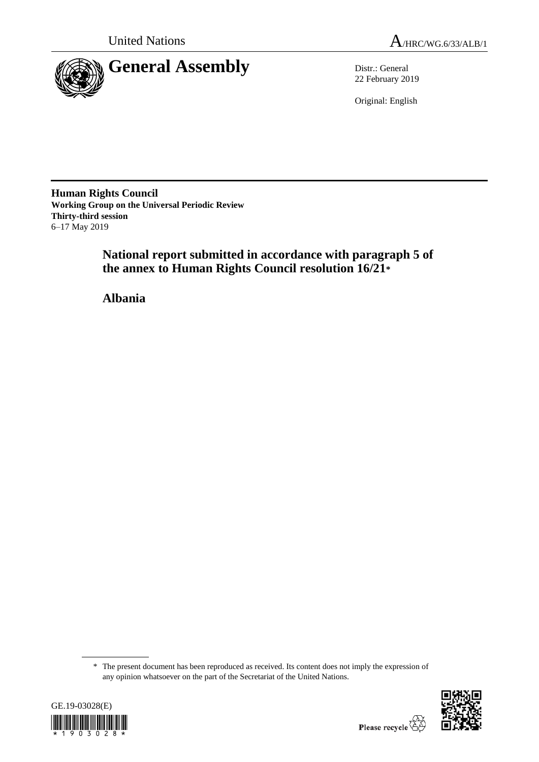



22 February 2019

Original: English

**Human Rights Council Working Group on the Universal Periodic Review Thirty-third session** 6–17 May 2019

> **National report submitted in accordance with paragraph 5 of the annex to Human Rights Council resolution 16/21\***

**Albania**

<sup>\*</sup> The present document has been reproduced as received. Its content does not imply the expression of any opinion whatsoever on the part of the Secretariat of the United Nations.



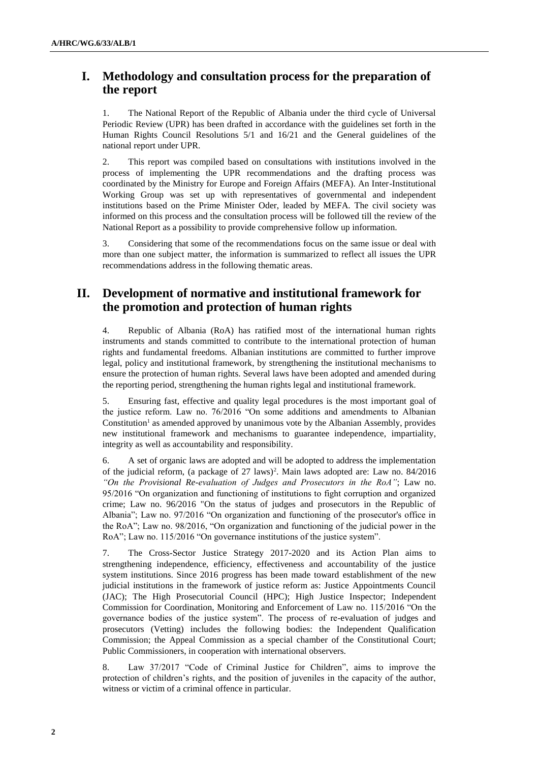# **I. Methodology and consultation process for the preparation of the report**

1. The National Report of the Republic of Albania under the third cycle of Universal Periodic Review (UPR) has been drafted in accordance with the guidelines set forth in the Human Rights Council Resolutions 5/1 and 16/21 and the General guidelines of the national report under UPR.

2. This report was compiled based on consultations with institutions involved in the process of implementing the UPR recommendations and the drafting process was coordinated by the Ministry for Europe and Foreign Affairs (MEFA). An Inter-Institutional Working Group was set up with representatives of governmental and independent institutions based on the Prime Minister Oder, leaded by MEFA. The civil society was informed on this process and the consultation process will be followed till the review of the National Report as a possibility to provide comprehensive follow up information.

3. Considering that some of the recommendations focus on the same issue or deal with more than one subject matter, the information is summarized to reflect all issues the UPR recommendations address in the following thematic areas.

# **II. Development of normative and institutional framework for the promotion and protection of human rights**

4. Republic of Albania (RoA) has ratified most of the international human rights instruments and stands committed to contribute to the international protection of human rights and fundamental freedoms. Albanian institutions are committed to further improve legal, policy and institutional framework, by strengthening the institutional mechanisms to ensure the protection of human rights. Several laws have been adopted and amended during the reporting period, strengthening the human rights legal and institutional framework.

5. Ensuring fast, effective and quality legal procedures is the most important goal of the justice reform. Law no. 76/2016 "On some additions and amendments to Albanian  $Constitution<sup>1</sup>$  as amended approved by unanimous vote by the Albanian Assembly, provides new institutional framework and mechanisms to guarantee independence, impartiality, integrity as well as accountability and responsibility.

6. A set of organic laws are adopted and will be adopted to address the implementation of the judicial reform, (a package of 27 laws)<sup>2</sup> . Main laws adopted are: Law no. 84/2016 *"On the Provisional Re-evaluation of Judges and Prosecutors in the RoA"*; Law no. 95/2016 "On organization and functioning of institutions to fight corruption and organized crime; Law no. 96/2016 "On the status of judges and prosecutors in the Republic of Albania"; Law no. 97/2016 "On organization and functioning of the prosecutor's office in the RoA"; Law no. 98/2016, "On organization and functioning of the judicial power in the RoA"; Law no. 115/2016 "On governance institutions of the justice system".

7. The Cross-Sector Justice Strategy 2017-2020 and its Action Plan aims to strengthening independence, efficiency, effectiveness and accountability of the justice system institutions. Since 2016 progress has been made toward establishment of the new judicial institutions in the framework of justice reform as: Justice Appointments Council (JAC); The High Prosecutorial Council (HPC); High Justice Inspector; Independent Commission for Coordination, Monitoring and Enforcement of Law no. 115/2016 "On the governance bodies of the justice system". The process of re-evaluation of judges and prosecutors (Vetting) includes the following bodies: the Independent Qualification Commission; the Appeal Commission as a special chamber of the Constitutional Court; Public Commissioners, in cooperation with international observers.

8. Law 37/2017 "Code of Criminal Justice for Children", aims to improve the protection of children's rights, and the position of juveniles in the capacity of the author, witness or victim of a criminal offence in particular.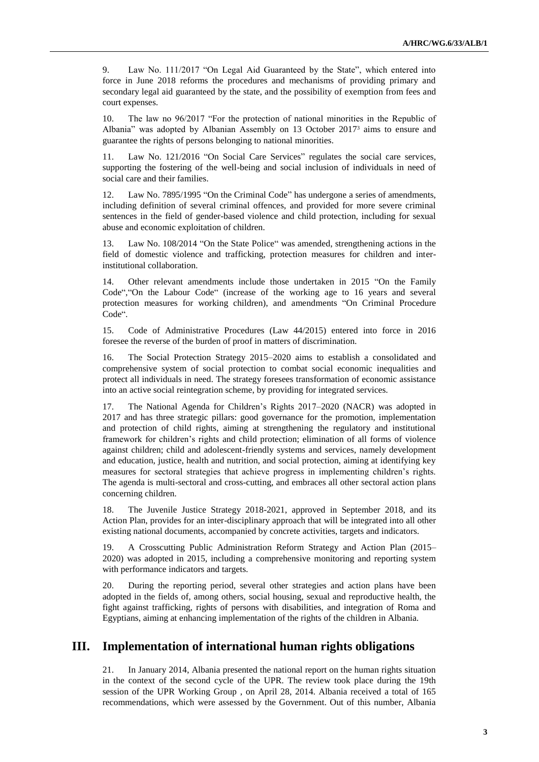9. Law No. 111/2017 "On Legal Aid Guaranteed by the State", which entered into force in June 2018 reforms the procedures and mechanisms of providing primary and secondary legal aid guaranteed by the state, and the possibility of exemption from fees and court expenses.

10. The law no 96/2017 "For the protection of national minorities in the Republic of Albania" was adopted by Albanian Assembly on 13 October 2017<sup>3</sup> aims to ensure and guarantee the rights of persons belonging to national minorities.

11. Law No. 121/2016 "On Social Care Services" regulates the social care services, supporting the fostering of the well-being and social inclusion of individuals in need of social care and their families.

12. Law No. 7895/1995 "On the Criminal Code" has undergone a series of amendments, including definition of several criminal offences, and provided for more severe criminal sentences in the field of gender-based violence and child protection, including for sexual abuse and economic exploitation of children.

13. Law No. 108/2014 "On the State Police" was amended, strengthening actions in the field of domestic violence and trafficking, protection measures for children and interinstitutional collaboration.

14. Other relevant amendments include those undertaken in 2015 "On the Family Code","On the Labour Code" (increase of the working age to 16 years and several protection measures for working children), and amendments "On Criminal Procedure Code".

15. Code of Administrative Procedures (Law 44/2015) entered into force in 2016 foresee the reverse of the burden of proof in matters of discrimination.

16. The Social Protection Strategy 2015–2020 aims to establish a consolidated and comprehensive system of social protection to combat social economic inequalities and protect all individuals in need. The strategy foresees transformation of economic assistance into an active social reintegration scheme, by providing for integrated services.

17. The National Agenda for Children's Rights 2017–2020 (NACR) was adopted in 2017 and has three strategic pillars: good governance for the promotion, implementation and protection of child rights, aiming at strengthening the regulatory and institutional framework for children's rights and child protection; elimination of all forms of violence against children; child and adolescent-friendly systems and services, namely development and education, justice, health and nutrition, and social protection, aiming at identifying key measures for sectoral strategies that achieve progress in implementing children's rights. The agenda is multi-sectoral and cross-cutting, and embraces all other sectoral action plans concerning children.

18. The Juvenile Justice Strategy 2018-2021, approved in September 2018, and its Action Plan, provides for an inter-disciplinary approach that will be integrated into all other existing national documents, accompanied by concrete activities, targets and indicators.

19. A Crosscutting Public Administration Reform Strategy and Action Plan (2015– 2020) was adopted in 2015, including a comprehensive monitoring and reporting system with performance indicators and targets.

20. During the reporting period, several other strategies and action plans have been adopted in the fields of, among others, social housing, sexual and reproductive health, the fight against trafficking, rights of persons with disabilities, and integration of Roma and Egyptians, aiming at enhancing implementation of the rights of the children in Albania.

## **III. Implementation of international human rights obligations**

21. In January 2014, Albania presented the national report on the human rights situation in the context of the second cycle of the UPR. The review took place during the 19th session of the UPR Working Group , on April 28, 2014. Albania received a total of 165 recommendations, which were assessed by the Government. Out of this number, Albania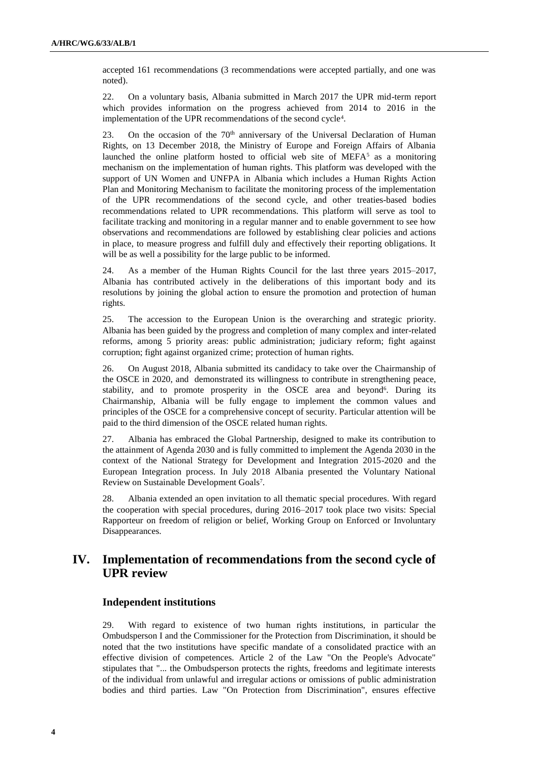accepted 161 recommendations (3 recommendations were accepted partially, and one was noted).

22. On a voluntary basis, Albania submitted in March 2017 the UPR mid-term report which provides information on the progress achieved from 2014 to 2016 in the implementation of the UPR recommendations of the second cycle<sup>4</sup>.

23. On the occasion of the  $70<sup>th</sup>$  anniversary of the Universal Declaration of Human Rights, on 13 December 2018, the Ministry of Europe and Foreign Affairs of Albania launched the online platform hosted to official web site of  $MEFA<sup>5</sup>$  as a monitoring mechanism on the implementation of human rights. This platform was developed with the support of UN Women and UNFPA in Albania which includes a Human Rights Action Plan and Monitoring Mechanism to facilitate the monitoring process of the implementation of the UPR recommendations of the second cycle, and other treaties-based bodies recommendations related to UPR recommendations. This platform will serve as tool to facilitate tracking and monitoring in a regular manner and to enable government to see how observations and recommendations are followed by establishing clear policies and actions in place, to measure progress and fulfill duly and effectively their reporting obligations. It will be as well a possibility for the large public to be informed.

24. As a member of the Human Rights Council for the last three years 2015–2017, Albania has contributed actively in the deliberations of this important body and its resolutions by joining the global action to ensure the promotion and protection of human rights.

25. The accession to the European Union is the overarching and strategic priority. Albania has been guided by the progress and completion of many complex and inter-related reforms, among 5 priority areas: public administration; judiciary reform; fight against corruption; fight against organized crime; protection of human rights.

26. On August 2018, Albania submitted its candidacy to take over the Chairmanship of the OSCE in 2020, and demonstrated its willingness to contribute in strengthening peace, stability, and to promote prosperity in the OSCE area and beyond<sup>6</sup>. During its Chairmanship, Albania will be fully engage to implement the common values and principles of the OSCE for a comprehensive concept of security. Particular attention will be paid to the third dimension of the OSCE related human rights.

27. Albania has embraced the Global Partnership, designed to make its contribution to the attainment of Agenda 2030 and is fully committed to implement the Agenda 2030 in the context of the National Strategy for Development and Integration 2015-2020 and the European Integration process. In July 2018 Albania presented the Voluntary National Review on Sustainable Development Goals<sup>7</sup>.

28. Albania extended an open invitation to all thematic special procedures. With regard the cooperation with special procedures, during 2016–2017 took place two visits: Special Rapporteur on freedom of religion or belief, Working Group on Enforced or Involuntary Disappearances.

## **IV. Implementation of recommendations from the second cycle of UPR review**

## **Independent institutions**

29. With regard to existence of two human rights institutions, in particular the Ombudsperson I and the Commissioner for the Protection from Discrimination, it should be noted that the two institutions have specific mandate of a consolidated practice with an effective division of competences. Article 2 of the Law "On the People's Advocate" stipulates that "... the Ombudsperson protects the rights, freedoms and legitimate interests of the individual from unlawful and irregular actions or omissions of public administration bodies and third parties. Law "On Protection from Discrimination", ensures effective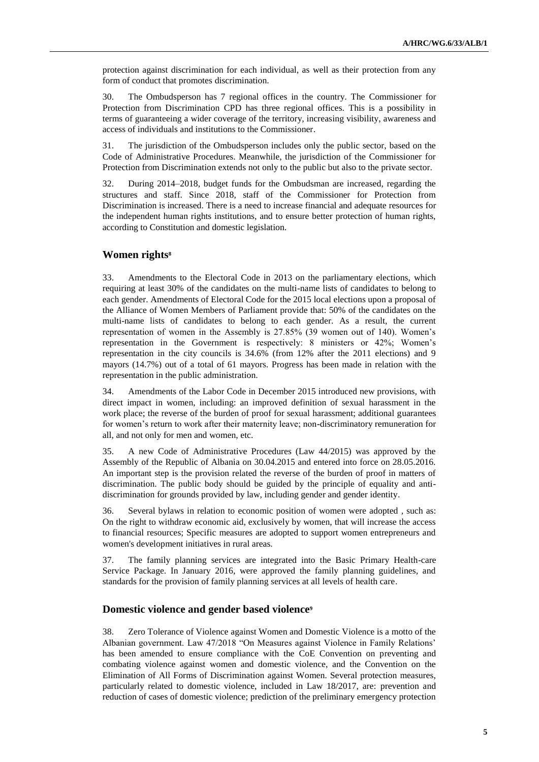protection against discrimination for each individual, as well as their protection from any form of conduct that promotes discrimination.

30. The Ombudsperson has 7 regional offices in the country. The Commissioner for Protection from Discrimination CPD has three regional offices. This is a possibility in terms of guaranteeing a wider coverage of the territory, increasing visibility, awareness and access of individuals and institutions to the Commissioner.

31. The jurisdiction of the Ombudsperson includes only the public sector, based on the Code of Administrative Procedures. Meanwhile, the jurisdiction of the Commissioner for Protection from Discrimination extends not only to the public but also to the private sector.

32. During 2014–2018, budget funds for the Ombudsman are increased, regarding the structures and staff. Since 2018, staff of the Commissioner for Protection from Discrimination is increased. There is a need to increase financial and adequate resources for the independent human rights institutions, and to ensure better protection of human rights, according to Constitution and domestic legislation.

### **Women rights<sup>8</sup>**

33. Amendments to the Electoral Code in 2013 on the parliamentary elections, which requiring at least 30% of the candidates on the multi-name lists of candidates to belong to each gender. Amendments of Electoral Code for the 2015 local elections upon a proposal of the Alliance of Women Members of Parliament provide that: 50% of the candidates on the multi-name lists of candidates to belong to each gender. As a result, the current representation of women in the Assembly is 27.85% (39 women out of 140). Women's representation in the Government is respectively: 8 ministers or 42%; Women's representation in the city councils is 34.6% (from 12% after the 2011 elections) and 9 mayors (14.7%) out of a total of 61 mayors. Progress has been made in relation with the representation in the public administration.

34. Amendments of the Labor Code in December 2015 introduced new provisions, with direct impact in women, including: an improved definition of sexual harassment in the work place; the reverse of the burden of proof for sexual harassment; additional guarantees for women's return to work after their maternity leave; non-discriminatory remuneration for all, and not only for men and women, etc.

35. A new Code of Administrative Procedures (Law 44/2015) was approved by the Assembly of the Republic of Albania on 30.04.2015 and entered into force on 28.05.2016. An important step is the provision related the reverse of the burden of proof in matters of discrimination. The public body should be guided by the principle of equality and antidiscrimination for grounds provided by law, including gender and gender identity.

36. Several bylaws in relation to economic position of women were adopted , such as: On the right to withdraw economic aid, exclusively by women, that will increase the access to financial resources; Specific measures are adopted to support women entrepreneurs and women's development initiatives in rural areas.

37. The family planning services are integrated into the Basic Primary Health-care Service Package. In January 2016, were approved the family planning guidelines, and standards for the provision of family planning services at all levels of health care.

#### **Domestic violence and gender based violence<sup>9</sup>**

38. Zero Tolerance of Violence against Women and Domestic Violence is a motto of the Albanian government. Law 47/2018 "On Measures against Violence in Family Relations' has been amended to ensure compliance with the CoE Convention on preventing and combating violence against women and domestic violence, and the Convention on the Elimination of All Forms of Discrimination against Women. Several protection measures, particularly related to domestic violence, included in Law 18/2017, are: prevention and reduction of cases of domestic violence; prediction of the preliminary emergency protection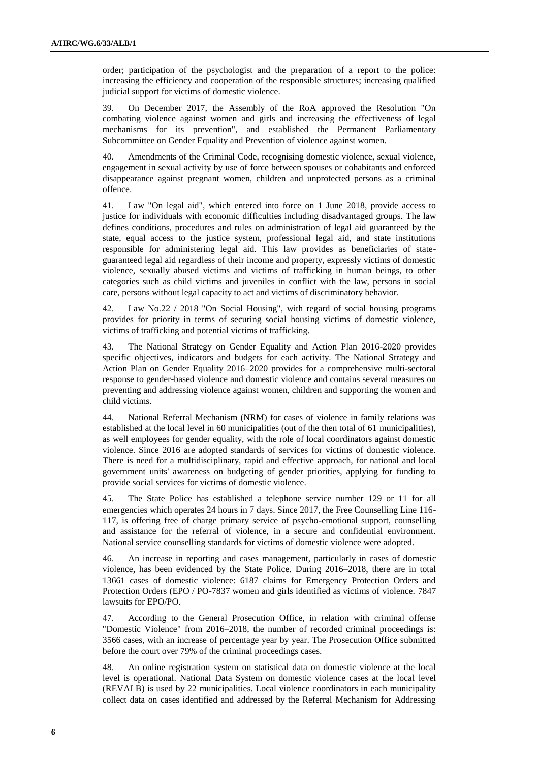order; participation of the psychologist and the preparation of a report to the police: increasing the efficiency and cooperation of the responsible structures; increasing qualified judicial support for victims of domestic violence.

39. On December 2017, the Assembly of the RoA approved the Resolution "On combating violence against women and girls and increasing the effectiveness of legal mechanisms for its prevention", and established the Permanent Parliamentary Subcommittee on Gender Equality and Prevention of violence against women.

40. Amendments of the Criminal Code, recognising domestic violence, sexual violence, engagement in sexual activity by use of force between spouses or cohabitants and enforced disappearance against pregnant women, children and unprotected persons as a criminal offence.

41. Law "On legal aid", which entered into force on 1 June 2018, provide access to justice for individuals with economic difficulties including disadvantaged groups. The law defines conditions, procedures and rules on administration of legal aid guaranteed by the state, equal access to the justice system, professional legal aid, and state institutions responsible for administering legal aid. This law provides as beneficiaries of stateguaranteed legal aid regardless of their income and property, expressly victims of domestic violence, sexually abused victims and victims of trafficking in human beings, to other categories such as child victims and juveniles in conflict with the law, persons in social care, persons without legal capacity to act and victims of discriminatory behavior.

42. Law No.22 / 2018 "On Social Housing", with regard of social housing programs provides for priority in terms of securing social housing victims of domestic violence, victims of trafficking and potential victims of trafficking.

43. The National Strategy on Gender Equality and Action Plan 2016-2020 provides specific objectives, indicators and budgets for each activity. The National Strategy and Action Plan on Gender Equality 2016–2020 provides for a comprehensive multi-sectoral response to gender-based violence and domestic violence and contains several measures on preventing and addressing violence against women, children and supporting the women and child victims.

44. National Referral Mechanism (NRM) for cases of violence in family relations was established at the local level in 60 municipalities (out of the then total of 61 municipalities), as well employees for gender equality, with the role of local coordinators against domestic violence. Since 2016 are adopted standards of services for victims of domestic violence. There is need for a multidisciplinary, rapid and effective approach, for national and local government units' awareness on budgeting of gender priorities, applying for funding to provide social services for victims of domestic violence.

45. The State Police has established a telephone service number 129 or 11 for all emergencies which operates 24 hours in 7 days. Since 2017, the Free Counselling Line 116- 117, is offering free of charge primary service of psycho-emotional support, counselling and assistance for the referral of violence, in a secure and confidential environment. National service counselling standards for victims of domestic violence were adopted.

46. An increase in reporting and cases management, particularly in cases of domestic violence, has been evidenced by the State Police. During 2016–2018, there are in total 13661 cases of domestic violence: 6187 claims for Emergency Protection Orders and Protection Orders (EPO / PO-7837 women and girls identified as victims of violence. 7847 lawsuits for EPO/PO.

47. According to the General Prosecution Office, in relation with criminal offense "Domestic Violence" from 2016–2018, the number of recorded criminal proceedings is: 3566 cases, with an increase of percentage year by year. The Prosecution Office submitted before the court over 79% of the criminal proceedings cases.

48. An online registration system on statistical data on domestic violence at the local level is operational. National Data System on domestic violence cases at the local level (REVALB) is used by 22 municipalities. Local violence coordinators in each municipality collect data on cases identified and addressed by the Referral Mechanism for Addressing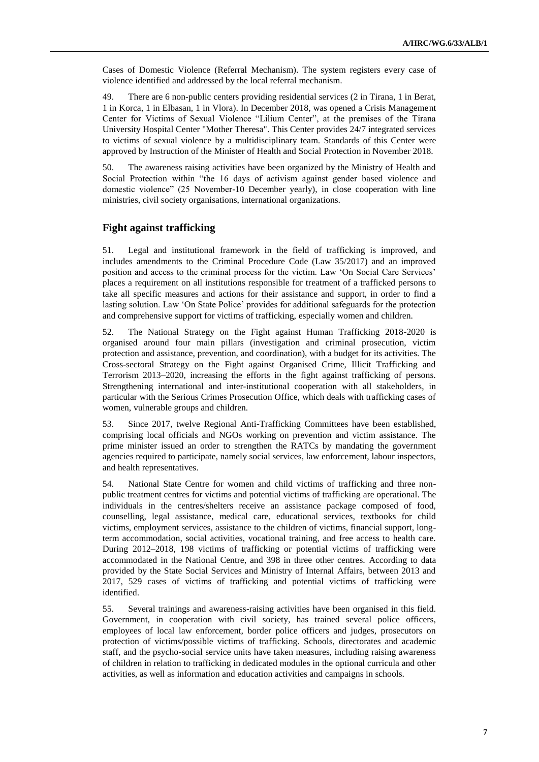Cases of Domestic Violence (Referral Mechanism). The system registers every case of violence identified and addressed by the local referral mechanism.

49. There are 6 non-public centers providing residential services (2 in Tirana, 1 in Berat, 1 in Korca, 1 in Elbasan, 1 in Vlora). In December 2018, was opened a Crisis Management Center for Victims of Sexual Violence "Lilium Center", at the premises of the Tirana University Hospital Center "Mother Theresa". This Center provides 24/7 integrated services to victims of sexual violence by a multidisciplinary team. Standards of this Center were approved by Instruction of the Minister of Health and Social Protection in November 2018.

50. The awareness raising activities have been organized by the Ministry of Health and Social Protection within "the 16 days of activism against gender based violence and domestic violence" (25 November-10 December yearly), in close cooperation with line ministries, civil society organisations, international organizations.

#### **Fight against trafficking**

51. Legal and institutional framework in the field of trafficking is improved, and includes amendments to the Criminal Procedure Code (Law 35/2017) and an improved position and access to the criminal process for the victim. Law 'On Social Care Services' places a requirement on all institutions responsible for treatment of a trafficked persons to take all specific measures and actions for their assistance and support, in order to find a lasting solution. Law 'On State Police' provides for additional safeguards for the protection and comprehensive support for victims of trafficking, especially women and children.

52. The National Strategy on the Fight against Human Trafficking 2018-2020 is organised around four main pillars (investigation and criminal prosecution, victim protection and assistance, prevention, and coordination), with a budget for its activities. The Cross-sectoral Strategy on the Fight against Organised Crime, Illicit Trafficking and Terrorism 2013–2020, increasing the efforts in the fight against trafficking of persons. Strengthening international and inter-institutional cooperation with all stakeholders, in particular with the Serious Crimes Prosecution Office, which deals with trafficking cases of women, vulnerable groups and children.

53. Since 2017, twelve Regional Anti-Trafficking Committees have been established, comprising local officials and NGOs working on prevention and victim assistance. The prime minister issued an order to strengthen the RATCs by mandating the government agencies required to participate, namely social services, law enforcement, labour inspectors, and health representatives.

54. National State Centre for women and child victims of trafficking and three nonpublic treatment centres for victims and potential victims of trafficking are operational. The individuals in the centres/shelters receive an assistance package composed of food, counselling, legal assistance, medical care, educational services, textbooks for child victims, employment services, assistance to the children of victims, financial support, longterm accommodation, social activities, vocational training, and free access to health care. During 2012–2018, 198 victims of trafficking or potential victims of trafficking were accommodated in the National Centre, and 398 in three other centres. According to data provided by the State Social Services and Ministry of Internal Affairs, between 2013 and 2017, 529 cases of victims of trafficking and potential victims of trafficking were identified.

55. Several trainings and awareness-raising activities have been organised in this field. Government, in cooperation with civil society, has trained several police officers, employees of local law enforcement, border police officers and judges, prosecutors on protection of victims/possible victims of trafficking. Schools, directorates and academic staff, and the psycho-social service units have taken measures, including raising awareness of children in relation to trafficking in dedicated modules in the optional curricula and other activities, as well as information and education activities and campaigns in schools.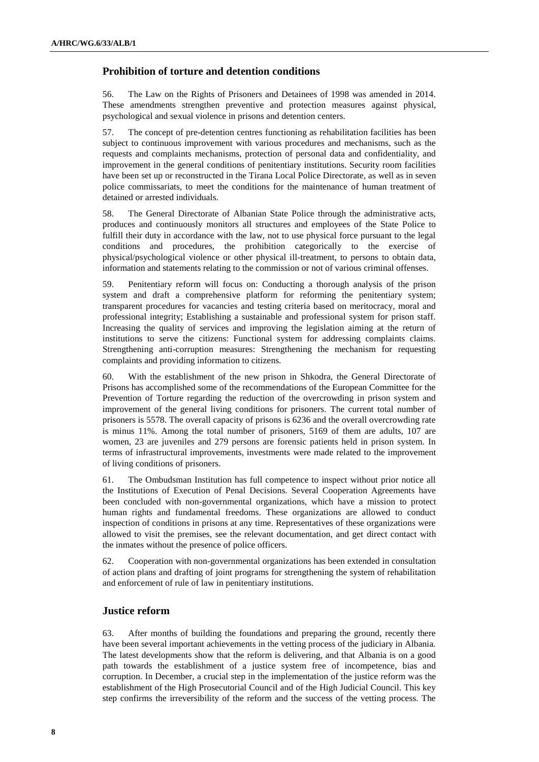### **Prohibition of torture and detention conditions**

56. The Law on the Rights of Prisoners and Detainees of 1998 was amended in 2014. These amendments strengthen preventive and protection measures against physical, psychological and sexual violence in prisons and detention centers.

57. The concept of pre-detention centres functioning as rehabilitation facilities has been subject to continuous improvement with various procedures and mechanisms, such as the requests and complaints mechanisms, protection of personal data and confidentiality, and improvement in the general conditions of penitentiary institutions. Security room facilities have been set up or reconstructed in the Tirana Local Police Directorate, as well as in seven police commissariats, to meet the conditions for the maintenance of human treatment of detained or arrested individuals.

58. The General Directorate of Albanian State Police through the administrative acts, produces and continuously monitors all structures and employees of the State Police to fulfill their duty in accordance with the law, not to use physical force pursuant to the legal conditions and procedures, the prohibition categorically to the exercise of physical/psychological violence or other physical ill-treatment, to persons to obtain data, information and statements relating to the commission or not of various criminal offenses.

59. Penitentiary reform will focus on: Conducting a thorough analysis of the prison system and draft a comprehensive platform for reforming the penitentiary system; transparent procedures for vacancies and testing criteria based on meritocracy, moral and professional integrity; Establishing a sustainable and professional system for prison staff. Increasing the quality of services and improving the legislation aiming at the return of institutions to serve the citizens: Functional system for addressing complaints claims. Strengthening anti-corruption measures: Strengthening the mechanism for requesting complaints and providing information to citizens.

60. With the establishment of the new prison in Shkodra, the General Directorate of Prisons has accomplished some of the recommendations of the European Committee for the Prevention of Torture regarding the reduction of the overcrowding in prison system and improvement of the general living conditions for prisoners. The current total number of prisoners is 5578. The overall capacity of prisons is 6236 and the overall overcrowding rate is minus 11%. Among the total number of prisoners, 5169 of them are adults, 107 are women, 23 are juveniles and 279 persons are forensic patients held in prison system. In terms of infrastructural improvements, investments were made related to the improvement of living conditions of prisoners.

61. The Ombudsman Institution has full competence to inspect without prior notice all the Institutions of Execution of Penal Decisions. Several Cooperation Agreements have been concluded with non-governmental organizations, which have a mission to protect human rights and fundamental freedoms. These organizations are allowed to conduct inspection of conditions in prisons at any time. Representatives of these organizations were allowed to visit the premises, see the relevant documentation, and get direct contact with the inmates without the presence of police officers.

62. Cooperation with non-governmental organizations has been extended in consultation of action plans and drafting of joint programs for strengthening the system of rehabilitation and enforcement of rule of law in penitentiary institutions.

## **Justice reform**

63. After months of building the foundations and preparing the ground, recently there have been several important achievements in the vetting process of the judiciary in Albania. The latest developments show that the reform is delivering, and that Albania is on a good path towards the establishment of a justice system free of incompetence, bias and corruption. In December, a crucial step in the implementation of the justice reform was the establishment of the High Prosecutorial Council and of the High Judicial Council. This key step confirms the irreversibility of the reform and the success of the vetting process. The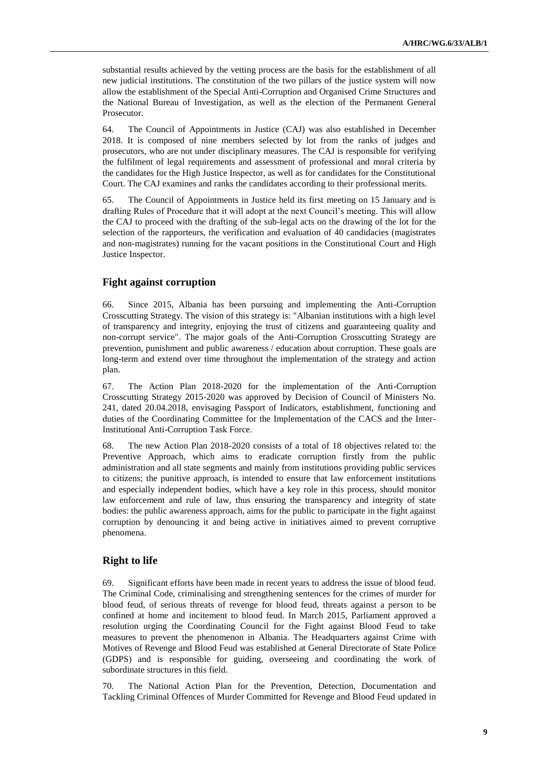substantial results achieved by the vetting process are the basis for the establishment of all new judicial institutions. The constitution of the two pillars of the justice system will now allow the establishment of the Special Anti-Corruption and Organised Crime Structures and the National Bureau of Investigation, as well as the election of the Permanent General Prosecutor.

64. The Council of Appointments in Justice (CAJ) was also established in December 2018. It is composed of nine members selected by lot from the ranks of judges and prosecutors, who are not under disciplinary measures. The CAJ is responsible for verifying the fulfilment of legal requirements and assessment of professional and moral criteria by the candidates for the High Justice Inspector, as well as for candidates for the Constitutional Court. The CAJ examines and ranks the candidates according to their professional merits.

65. The Council of Appointments in Justice held its first meeting on 15 January and is drafting Rules of Procedure that it will adopt at the next Council's meeting. This will allow the CAJ to proceed with the drafting of the sub-legal acts on the drawing of the lot for the selection of the rapporteurs, the verification and evaluation of 40 candidacies (magistrates and non-magistrates) running for the vacant positions in the Constitutional Court and High Justice Inspector.

## **Fight against corruption**

66. Since 2015, Albania has been pursuing and implementing the Anti-Corruption Crosscutting Strategy. The vision of this strategy is: "Albanian institutions with a high level of transparency and integrity, enjoying the trust of citizens and guaranteeing quality and non-corrupt service". The major goals of the Anti-Corruption Crosscutting Strategy are prevention, punishment and public awareness / education about corruption. These goals are long-term and extend over time throughout the implementation of the strategy and action plan.

67. The Action Plan 2018-2020 for the implementation of the Anti-Corruption Crosscutting Strategy 2015-2020 was approved by Decision of Council of Ministers No. 241, dated 20.04.2018, envisaging Passport of Indicators, establishment, functioning and duties of the Coordinating Committee for the Implementation of the CACS and the Inter-Institutional Anti-Corruption Task Force.

68. The new Action Plan 2018-2020 consists of a total of 18 objectives related to: the Preventive Approach, which aims to eradicate corruption firstly from the public administration and all state segments and mainly from institutions providing public services to citizens; the punitive approach, is intended to ensure that law enforcement institutions and especially independent bodies, which have a key role in this process, should monitor law enforcement and rule of law, thus ensuring the transparency and integrity of state bodies: the public awareness approach, aims for the public to participate in the fight against corruption by denouncing it and being active in initiatives aimed to prevent corruptive phenomena.

#### **Right to life**

69. Significant efforts have been made in recent years to address the issue of blood feud. The Criminal Code, criminalising and strengthening sentences for the crimes of murder for blood feud, of serious threats of revenge for blood feud, threats against a person to be confined at home and incitement to blood feud. In March 2015, Parliament approved a resolution urging the Coordinating Council for the Fight against Blood Feud to take measures to prevent the phenomenon in Albania. The Headquarters against Crime with Motives of Revenge and Blood Feud was established at General Directorate of State Police (GDPS) and is responsible for guiding, overseeing and coordinating the work of subordinate structures in this field.

70. The National Action Plan for the Prevention, Detection, Documentation and Tackling Criminal Offences of Murder Committed for Revenge and Blood Feud updated in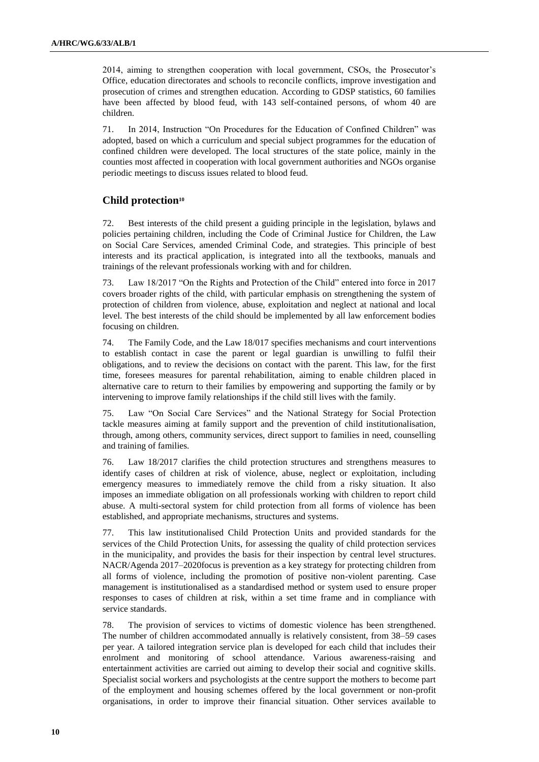2014, aiming to strengthen cooperation with local government, CSOs, the Prosecutor's Office, education directorates and schools to reconcile conflicts, improve investigation and prosecution of crimes and strengthen education. According to GDSP statistics, 60 families have been affected by blood feud, with 143 self-contained persons, of whom 40 are children.

71. In 2014, Instruction "On Procedures for the Education of Confined Children" was adopted, based on which a curriculum and special subject programmes for the education of confined children were developed. The local structures of the state police, mainly in the counties most affected in cooperation with local government authorities and NGOs organise periodic meetings to discuss issues related to blood feud.

## **Child protection<sup>10</sup>**

72. Best interests of the child present a guiding principle in the legislation, bylaws and policies pertaining children, including the Code of Criminal Justice for Children, the Law on Social Care Services, amended Criminal Code, and strategies. This principle of best interests and its practical application, is integrated into all the textbooks, manuals and trainings of the relevant professionals working with and for children.

73. Law 18/2017 "On the Rights and Protection of the Child" entered into force in 2017 covers broader rights of the child, with particular emphasis on strengthening the system of protection of children from violence, abuse, exploitation and neglect at national and local level. The best interests of the child should be implemented by all law enforcement bodies focusing on children.

74. The Family Code, and the Law 18/017 specifies mechanisms and court interventions to establish contact in case the parent or legal guardian is unwilling to fulfil their obligations, and to review the decisions on contact with the parent. This law, for the first time, foresees measures for parental rehabilitation, aiming to enable children placed in alternative care to return to their families by empowering and supporting the family or by intervening to improve family relationships if the child still lives with the family.

75. Law "On Social Care Services" and the National Strategy for Social Protection tackle measures aiming at family support and the prevention of child institutionalisation, through, among others, community services, direct support to families in need, counselling and training of families.

76. Law 18/2017 clarifies the child protection structures and strengthens measures to identify cases of children at risk of violence, abuse, neglect or exploitation, including emergency measures to immediately remove the child from a risky situation. It also imposes an immediate obligation on all professionals working with children to report child abuse. A multi-sectoral system for child protection from all forms of violence has been established, and appropriate mechanisms, structures and systems.

77. This law institutionalised Child Protection Units and provided standards for the services of the Child Protection Units, for assessing the quality of child protection services in the municipality, and provides the basis for their inspection by central level structures. NACR/Agenda 2017–2020focus is prevention as a key strategy for protecting children from all forms of violence, including the promotion of positive non-violent parenting. Case management is institutionalised as a standardised method or system used to ensure proper responses to cases of children at risk, within a set time frame and in compliance with service standards.

78. The provision of services to victims of domestic violence has been strengthened. The number of children accommodated annually is relatively consistent, from 38–59 cases per year. A tailored integration service plan is developed for each child that includes their enrolment and monitoring of school attendance. Various awareness-raising and entertainment activities are carried out aiming to develop their social and cognitive skills. Specialist social workers and psychologists at the centre support the mothers to become part of the employment and housing schemes offered by the local government or non-profit organisations, in order to improve their financial situation. Other services available to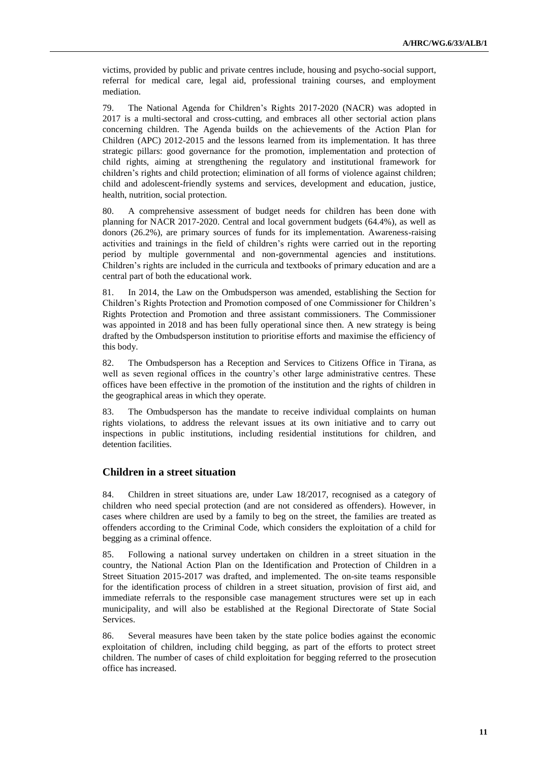victims, provided by public and private centres include, housing and psycho-social support, referral for medical care, legal aid, professional training courses, and employment mediation.

79. The National Agenda for Children's Rights 2017-2020 (NACR) was adopted in 2017 is a multi-sectoral and cross-cutting, and embraces all other sectorial action plans concerning children. The Agenda builds on the achievements of the Action Plan for Children (APC) 2012-2015 and the lessons learned from its implementation. It has three strategic pillars: good governance for the promotion, implementation and protection of child rights, aiming at strengthening the regulatory and institutional framework for children's rights and child protection; elimination of all forms of violence against children; child and adolescent-friendly systems and services, development and education, justice, health, nutrition, social protection.

80. A comprehensive assessment of budget needs for children has been done with planning for NACR 2017-2020. Central and local government budgets (64.4%), as well as donors (26.2%), are primary sources of funds for its implementation. Awareness-raising activities and trainings in the field of children's rights were carried out in the reporting period by multiple governmental and non-governmental agencies and institutions. Children's rights are included in the curricula and textbooks of primary education and are a central part of both the educational work.

81. In 2014, the Law on the Ombudsperson was amended, establishing the Section for Children's Rights Protection and Promotion composed of one Commissioner for Children's Rights Protection and Promotion and three assistant commissioners. The Commissioner was appointed in 2018 and has been fully operational since then. A new strategy is being drafted by the Ombudsperson institution to prioritise efforts and maximise the efficiency of this body.

82. The Ombudsperson has a Reception and Services to Citizens Office in Tirana, as well as seven regional offices in the country's other large administrative centres. These offices have been effective in the promotion of the institution and the rights of children in the geographical areas in which they operate.

83. The Ombudsperson has the mandate to receive individual complaints on human rights violations, to address the relevant issues at its own initiative and to carry out inspections in public institutions, including residential institutions for children, and detention facilities.

## **Children in a street situation**

84. Children in street situations are, under Law 18/2017, recognised as a category of children who need special protection (and are not considered as offenders). However, in cases where children are used by a family to beg on the street, the families are treated as offenders according to the Criminal Code, which considers the exploitation of a child for begging as a criminal offence.

85. Following a national survey undertaken on children in a street situation in the country, the National Action Plan on the Identification and Protection of Children in a Street Situation 2015-2017 was drafted, and implemented. The on-site teams responsible for the identification process of children in a street situation, provision of first aid, and immediate referrals to the responsible case management structures were set up in each municipality, and will also be established at the Regional Directorate of State Social Services.

86. Several measures have been taken by the state police bodies against the economic exploitation of children, including child begging, as part of the efforts to protect street children. The number of cases of child exploitation for begging referred to the prosecution office has increased.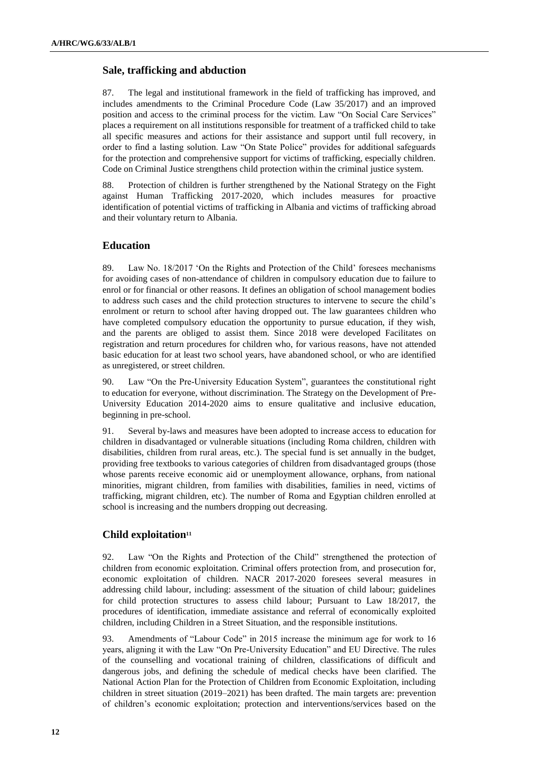#### **Sale, trafficking and abduction**

87. The legal and institutional framework in the field of trafficking has improved, and includes amendments to the Criminal Procedure Code (Law 35/2017) and an improved position and access to the criminal process for the victim. Law "On Social Care Services" places a requirement on all institutions responsible for treatment of a trafficked child to take all specific measures and actions for their assistance and support until full recovery, in order to find a lasting solution. Law "On State Police" provides for additional safeguards for the protection and comprehensive support for victims of trafficking, especially children. Code on Criminal Justice strengthens child protection within the criminal justice system.

88. Protection of children is further strengthened by the National Strategy on the Fight against Human Trafficking 2017-2020, which includes measures for proactive identification of potential victims of trafficking in Albania and victims of trafficking abroad and their voluntary return to Albania.

### **Education**

89. Law No. 18/2017 'On the Rights and Protection of the Child' foresees mechanisms for avoiding cases of non-attendance of children in compulsory education due to failure to enrol or for financial or other reasons. It defines an obligation of school management bodies to address such cases and the child protection structures to intervene to secure the child's enrolment or return to school after having dropped out. The law guarantees children who have completed compulsory education the opportunity to pursue education, if they wish, and the parents are obliged to assist them. Since 2018 were developed Facilitates on registration and return procedures for children who, for various reasons, have not attended basic education for at least two school years, have abandoned school, or who are identified as unregistered, or street children.

90. Law "On the Pre-University Education System", guarantees the constitutional right to education for everyone, without discrimination. The Strategy on the Development of Pre-University Education 2014-2020 aims to ensure qualitative and inclusive education, beginning in pre-school.

91. Several by-laws and measures have been adopted to increase access to education for children in disadvantaged or vulnerable situations (including Roma children, children with disabilities, children from rural areas, etc.). The special fund is set annually in the budget, providing free textbooks to various categories of children from disadvantaged groups (those whose parents receive economic aid or unemployment allowance, orphans, from national minorities, migrant children, from families with disabilities, families in need, victims of trafficking, migrant children, etc). The number of Roma and Egyptian children enrolled at school is increasing and the numbers dropping out decreasing.

#### **Child exploitation<sup>11</sup>**

92. Law "On the Rights and Protection of the Child" strengthened the protection of children from economic exploitation. Criminal offers protection from, and prosecution for, economic exploitation of children. NACR 2017-2020 foresees several measures in addressing child labour, including: assessment of the situation of child labour; guidelines for child protection structures to assess child labour; Pursuant to Law 18/2017, the procedures of identification, immediate assistance and referral of economically exploited children, including Children in a Street Situation, and the responsible institutions.

93. Amendments of "Labour Code" in 2015 increase the minimum age for work to 16 years, aligning it with the Law "On Pre-University Education" and EU Directive. The rules of the counselling and vocational training of children, classifications of difficult and dangerous jobs, and defining the schedule of medical checks have been clarified. The National Action Plan for the Protection of Children from Economic Exploitation, including children in street situation (2019–2021) has been drafted. The main targets are: prevention of children's economic exploitation; protection and interventions/services based on the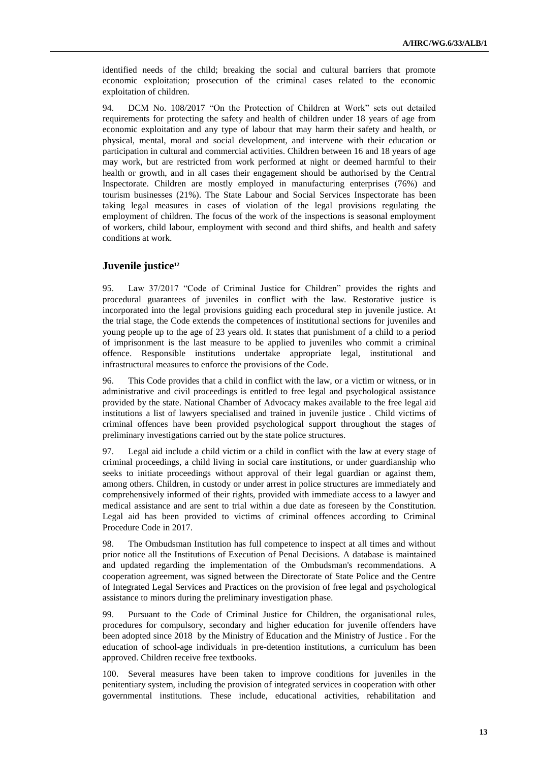identified needs of the child; breaking the social and cultural barriers that promote economic exploitation; prosecution of the criminal cases related to the economic exploitation of children.

94. DCM No. 108/2017 "On the Protection of Children at Work" sets out detailed requirements for protecting the safety and health of children under 18 years of age from economic exploitation and any type of labour that may harm their safety and health, or physical, mental, moral and social development, and intervene with their education or participation in cultural and commercial activities. Children between 16 and 18 years of age may work, but are restricted from work performed at night or deemed harmful to their health or growth, and in all cases their engagement should be authorised by the Central Inspectorate. Children are mostly employed in manufacturing enterprises (76%) and tourism businesses (21%). The State Labour and Social Services Inspectorate has been taking legal measures in cases of violation of the legal provisions regulating the employment of children. The focus of the work of the inspections is seasonal employment of workers, child labour, employment with second and third shifts, and health and safety conditions at work.

### **Juvenile justice<sup>12</sup>**

95. Law 37/2017 "Code of Criminal Justice for Children" provides the rights and procedural guarantees of juveniles in conflict with the law. Restorative justice is incorporated into the legal provisions guiding each procedural step in juvenile justice. At the trial stage, the Code extends the competences of institutional sections for juveniles and young people up to the age of 23 years old. It states that punishment of a child to a period of imprisonment is the last measure to be applied to juveniles who commit a criminal offence. Responsible institutions undertake appropriate legal, institutional and infrastructural measures to enforce the provisions of the Code.

96. This Code provides that a child in conflict with the law, or a victim or witness, or in administrative and civil proceedings is entitled to free legal and psychological assistance provided by the state. National Chamber of Advocacy makes available to the free legal aid institutions a list of lawyers specialised and trained in juvenile justice . Child victims of criminal offences have been provided psychological support throughout the stages of preliminary investigations carried out by the state police structures.

97. Legal aid include a child victim or a child in conflict with the law at every stage of criminal proceedings, a child living in social care institutions, or under guardianship who seeks to initiate proceedings without approval of their legal guardian or against them, among others. Children, in custody or under arrest in police structures are immediately and comprehensively informed of their rights, provided with immediate access to a lawyer and medical assistance and are sent to trial within a due date as foreseen by the Constitution. Legal aid has been provided to victims of criminal offences according to Criminal Procedure Code in 2017.

98. The Ombudsman Institution has full competence to inspect at all times and without prior notice all the Institutions of Execution of Penal Decisions. A database is maintained and updated regarding the implementation of the Ombudsman's recommendations. A cooperation agreement, was signed between the Directorate of State Police and the Centre of Integrated Legal Services and Practices on the provision of free legal and psychological assistance to minors during the preliminary investigation phase.

99. Pursuant to the Code of Criminal Justice for Children, the organisational rules, procedures for compulsory, secondary and higher education for juvenile offenders have been adopted since 2018 by the Ministry of Education and the Ministry of Justice . For the education of school-age individuals in pre-detention institutions, a curriculum has been approved. Children receive free textbooks.

100. Several measures have been taken to improve conditions for juveniles in the penitentiary system, including the provision of integrated services in cooperation with other governmental institutions. These include, educational activities, rehabilitation and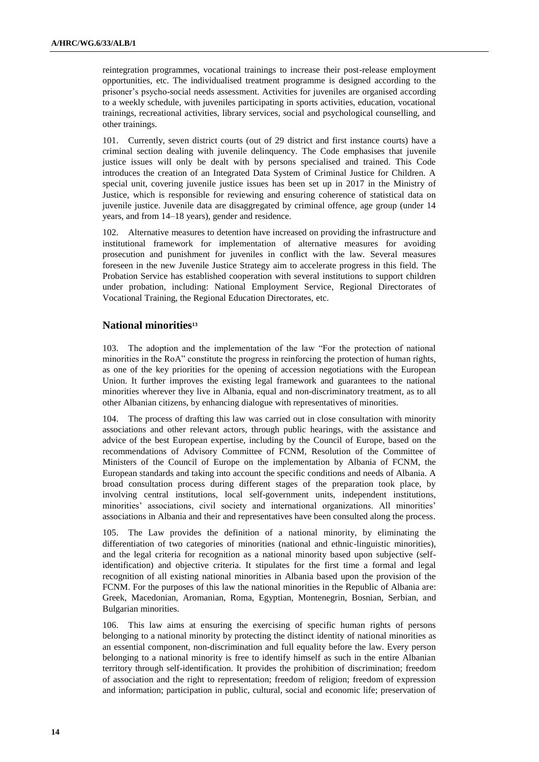reintegration programmes, vocational trainings to increase their post-release employment opportunities, etc. The individualised treatment programme is designed according to the prisoner's psycho-social needs assessment. Activities for juveniles are organised according to a weekly schedule, with juveniles participating in sports activities, education, vocational trainings, recreational activities, library services, social and psychological counselling, and other trainings.

101. Currently, seven district courts (out of 29 district and first instance courts) have a criminal section dealing with juvenile delinquency. The Code emphasises that juvenile justice issues will only be dealt with by persons specialised and trained. This Code introduces the creation of an Integrated Data System of Criminal Justice for Children. A special unit, covering juvenile justice issues has been set up in 2017 in the Ministry of Justice, which is responsible for reviewing and ensuring coherence of statistical data on juvenile justice. Juvenile data are disaggregated by criminal offence, age group (under 14 years, and from 14–18 years), gender and residence.

102. Alternative measures to detention have increased on providing the infrastructure and institutional framework for implementation of alternative measures for avoiding prosecution and punishment for juveniles in conflict with the law. Several measures foreseen in the new Juvenile Justice Strategy aim to accelerate progress in this field. The Probation Service has established cooperation with several institutions to support children under probation, including: National Employment Service, Regional Directorates of Vocational Training, the Regional Education Directorates, etc.

### **National minorities<sup>13</sup>**

103. The adoption and the implementation of the law "For the protection of national minorities in the RoA" constitute the progress in reinforcing the protection of human rights, as one of the key priorities for the opening of accession negotiations with the European Union. It further improves the existing legal framework and guarantees to the national minorities wherever they live in Albania, equal and non-discriminatory treatment, as to all other Albanian citizens, by enhancing dialogue with representatives of minorities.

The process of drafting this law was carried out in close consultation with minority associations and other relevant actors, through public hearings, with the assistance and advice of the best European expertise, including by the Council of Europe, based on the recommendations of Advisory Committee of FCNM, Resolution of the Committee of Ministers of the Council of Europe on the implementation by Albania of FCNM, the European standards and taking into account the specific conditions and needs of Albania. A broad consultation process during different stages of the preparation took place, by involving central institutions, local self-government units, independent institutions, minorities' associations, civil society and international organizations. All minorities' associations in Albania and their and representatives have been consulted along the process.

105. The Law provides the definition of a national minority, by eliminating the differentiation of two categories of minorities (national and ethnic-linguistic minorities), and the legal criteria for recognition as a national minority based upon subjective (selfidentification) and objective criteria. It stipulates for the first time a formal and legal recognition of all existing national minorities in Albania based upon the provision of the FCNM. For the purposes of this law the national minorities in the Republic of Albania are: Greek, Macedonian, Aromanian, Roma, Egyptian, Montenegrin, Bosnian, Serbian, and Bulgarian minorities.

106. This law aims at ensuring the exercising of specific human rights of persons belonging to a national minority by protecting the distinct identity of national minorities as an essential component, non-discrimination and full equality before the law. Every person belonging to a national minority is free to identify himself as such in the entire Albanian territory through self-identification. It provides the prohibition of discrimination; freedom of association and the right to representation; freedom of religion; freedom of expression and information; participation in public, cultural, social and economic life; preservation of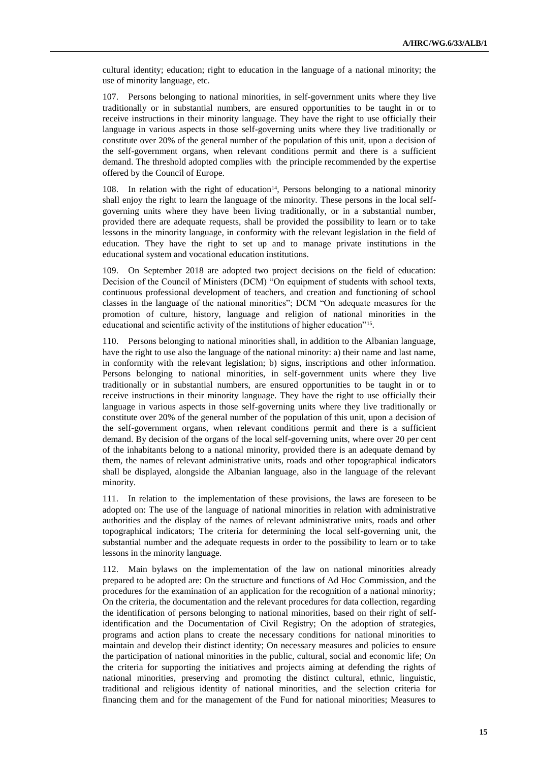cultural identity; education; right to education in the language of a national minority; the use of minority language, etc.

107. Persons belonging to national minorities, in self-government units where they live traditionally or in substantial numbers, are ensured opportunities to be taught in or to receive instructions in their minority language. They have the right to use officially their language in various aspects in those self-governing units where they live traditionally or constitute over 20% of the general number of the population of this unit, upon a decision of the self-government organs, when relevant conditions permit and there is a sufficient demand. The threshold adopted complies with the principle recommended by the expertise offered by the Council of Europe.

108. In relation with the right of education<sup>14</sup>, Persons belonging to a national minority shall enjoy the right to learn the language of the minority. These persons in the local selfgoverning units where they have been living traditionally, or in a substantial number, provided there are adequate requests, shall be provided the possibility to learn or to take lessons in the minority language, in conformity with the relevant legislation in the field of education. They have the right to set up and to manage private institutions in the educational system and vocational education institutions.

109. On September 2018 are adopted two project decisions on the field of education: Decision of the Council of Ministers (DCM) "On equipment of students with school texts, continuous professional development of teachers, and creation and functioning of school classes in the language of the national minorities"; DCM "On adequate measures for the promotion of culture, history, language and religion of national minorities in the educational and scientific activity of the institutions of higher education"<sup>15</sup>.

110. Persons belonging to national minorities shall, in addition to the Albanian language, have the right to use also the language of the national minority: a) their name and last name, in conformity with the relevant legislation; b) signs, inscriptions and other information. Persons belonging to national minorities, in self-government units where they live traditionally or in substantial numbers, are ensured opportunities to be taught in or to receive instructions in their minority language. They have the right to use officially their language in various aspects in those self-governing units where they live traditionally or constitute over 20% of the general number of the population of this unit, upon a decision of the self-government organs, when relevant conditions permit and there is a sufficient demand. By decision of the organs of the local self-governing units, where over 20 per cent of the inhabitants belong to a national minority, provided there is an adequate demand by them, the names of relevant administrative units, roads and other topographical indicators shall be displayed, alongside the Albanian language, also in the language of the relevant minority.

111. In relation to the implementation of these provisions, the laws are foreseen to be adopted on: The use of the language of national minorities in relation with administrative authorities and the display of the names of relevant administrative units, roads and other topographical indicators; The criteria for determining the local self-governing unit, the substantial number and the adequate requests in order to the possibility to learn or to take lessons in the minority language.

112. Main bylaws on the implementation of the law on national minorities already prepared to be adopted are: On the structure and functions of Ad Hoc Commission, and the procedures for the examination of an application for the recognition of a national minority; On the criteria, the documentation and the relevant procedures for data collection, regarding the identification of persons belonging to national minorities, based on their right of selfidentification and the Documentation of Civil Registry; On the adoption of strategies, programs and action plans to create the necessary conditions for national minorities to maintain and develop their distinct identity; On necessary measures and policies to ensure the participation of national minorities in the public, cultural, social and economic life; On the criteria for supporting the initiatives and projects aiming at defending the rights of national minorities, preserving and promoting the distinct cultural, ethnic, linguistic, traditional and religious identity of national minorities, and the selection criteria for financing them and for the management of the Fund for national minorities; Measures to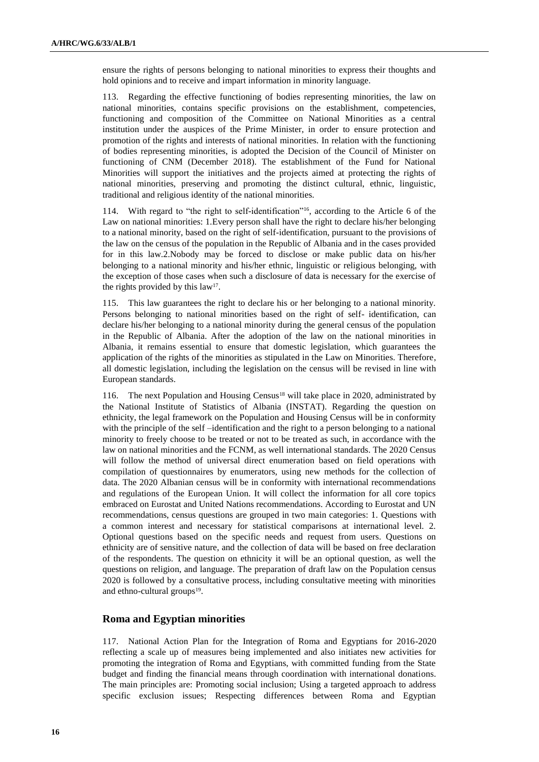ensure the rights of persons belonging to national minorities to express their thoughts and hold opinions and to receive and impart information in minority language.

113. Regarding the effective functioning of bodies representing minorities, the law on national minorities, contains specific provisions on the establishment, competencies, functioning and composition of the Committee on National Minorities as a central institution under the auspices of the Prime Minister, in order to ensure protection and promotion of the rights and interests of national minorities. In relation with the functioning of bodies representing minorities, is adopted the Decision of the Council of Minister on functioning of CNM (December 2018). The establishment of the Fund for National Minorities will support the initiatives and the projects aimed at protecting the rights of national minorities, preserving and promoting the distinct cultural, ethnic, linguistic, traditional and religious identity of the national minorities.

114. With regard to "the right to self-identification"16, according to the Article 6 of the Law on national minorities: 1.Every person shall have the right to declare his/her belonging to a national minority, based on the right of self-identification, pursuant to the provisions of the law on the census of the population in the Republic of Albania and in the cases provided for in this law.2.Nobody may be forced to disclose or make public data on his/her belonging to a national minority and his/her ethnic, linguistic or religious belonging, with the exception of those cases when such a disclosure of data is necessary for the exercise of the rights provided by this  $law<sup>17</sup>$ .

115. This law guarantees the right to declare his or her belonging to a national minority. Persons belonging to national minorities based on the right of self- identification, can declare his/her belonging to a national minority during the general census of the population in the Republic of Albania. After the adoption of the law on the national minorities in Albania, it remains essential to ensure that domestic legislation, which guarantees the application of the rights of the minorities as stipulated in the Law on Minorities. Therefore, all domestic legislation, including the legislation on the census will be revised in line with European standards.

116. The next Population and Housing Census<sup>18</sup> will take place in 2020, administrated by the National Institute of Statistics of Albania (INSTAT). Regarding the question on ethnicity, the legal framework on the Population and Housing Census will be in conformity with the principle of the self –identification and the right to a person belonging to a national minority to freely choose to be treated or not to be treated as such, in accordance with the law on national minorities and the FCNM, as well international standards. The 2020 Census will follow the method of universal direct enumeration based on field operations with compilation of questionnaires by enumerators, using new methods for the collection of data. The 2020 Albanian census will be in conformity with international recommendations and regulations of the European Union. It will collect the information for all core topics embraced on Eurostat and United Nations recommendations. According to Eurostat and UN recommendations, census questions are grouped in two main categories: 1. Questions with a common interest and necessary for statistical comparisons at international level. 2. Optional questions based on the specific needs and request from users. Questions on ethnicity are of sensitive nature, and the collection of data will be based on free declaration of the respondents. The question on ethnicity it will be an optional question, as well the questions on religion, and language. The preparation of draft law on the Population census 2020 is followed by a consultative process, including consultative meeting with minorities and ethno-cultural groups<sup>19</sup>.

## **Roma and Egyptian minorities**

117. National Action Plan for the Integration of Roma and Egyptians for 2016-2020 reflecting a scale up of measures being implemented and also initiates new activities for promoting the integration of Roma and Egyptians, with committed funding from the State budget and finding the financial means through coordination with international donations. The main principles are: Promoting social inclusion; Using a targeted approach to address specific exclusion issues; Respecting differences between Roma and Egyptian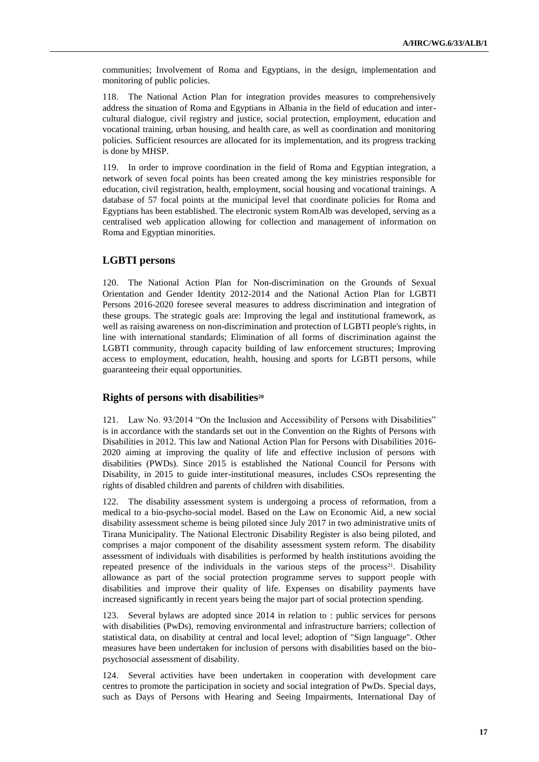communities; Involvement of Roma and Egyptians, in the design, implementation and monitoring of public policies.

118. The National Action Plan for integration provides measures to comprehensively address the situation of Roma and Egyptians in Albania in the field of education and intercultural dialogue, civil registry and justice, social protection, employment, education and vocational training, urban housing, and health care, as well as coordination and monitoring policies. Sufficient resources are allocated for its implementation, and its progress tracking is done by MHSP.

119. In order to improve coordination in the field of Roma and Egyptian integration, a network of seven focal points has been created among the key ministries responsible for education, civil registration, health, employment, social housing and vocational trainings. A database of 57 focal points at the municipal level that coordinate policies for Roma and Egyptians has been established. The electronic system RomAlb was developed, serving as a centralised web application allowing for collection and management of information on Roma and Egyptian minorities.

## **LGBTI persons**

120. The National Action Plan for Non-discrimination on the Grounds of Sexual Orientation and Gender Identity 2012-2014 and the National Action Plan for LGBTI Persons 2016-2020 foresee several measures to address discrimination and integration of these groups. The strategic goals are: Improving the legal and institutional framework, as well as raising awareness on non-discrimination and protection of LGBTI people's rights, in line with international standards; Elimination of all forms of discrimination against the LGBTI community, through capacity building of law enforcement structures; Improving access to employment, education, health, housing and sports for LGBTI persons, while guaranteeing their equal opportunities.

#### **Rights of persons with disabilities<sup>20</sup>**

121. Law No. 93/2014 "On the Inclusion and Accessibility of Persons with Disabilities" is in accordance with the standards set out in the Convention on the Rights of Persons with Disabilities in 2012. This law and National Action Plan for Persons with Disabilities 2016- 2020 aiming at improving the quality of life and effective inclusion of persons with disabilities (PWDs). Since 2015 is established the National Council for Persons with Disability, in 2015 to guide inter-institutional measures, includes CSOs representing the rights of disabled children and parents of children with disabilities.

122. The disability assessment system is undergoing a process of reformation, from a medical to a bio-psycho-social model. Based on the Law on Economic Aid, a new social disability assessment scheme is being piloted since July 2017 in two administrative units of Tirana Municipality. The National Electronic Disability Register is also being piloted, and comprises a major component of the disability assessment system reform. The disability assessment of individuals with disabilities is performed by health institutions avoiding the repeated presence of the individuals in the various steps of the process<sup>21</sup>. Disability allowance as part of the social protection programme serves to support people with disabilities and improve their quality of life. Expenses on disability payments have increased significantly in recent years being the major part of social protection spending.

123. Several bylaws are adopted since 2014 in relation to : public services for persons with disabilities (PwDs), removing environmental and infrastructure barriers; collection of statistical data, on disability at central and local level; adoption of "Sign language". Other measures have been undertaken for inclusion of persons with disabilities based on the biopsychosocial assessment of disability.

124. Several activities have been undertaken in cooperation with development care centres to promote the participation in society and social integration of PwDs. Special days, such as Days of Persons with Hearing and Seeing Impairments, International Day of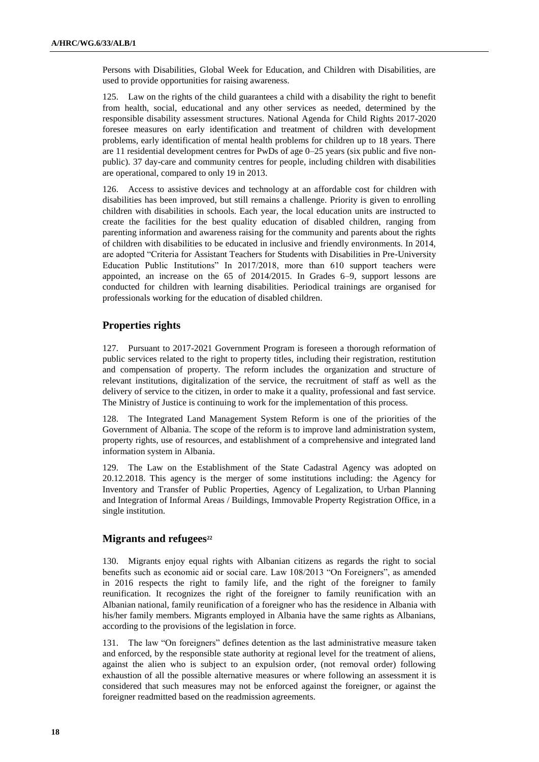Persons with Disabilities, Global Week for Education, and Children with Disabilities, are used to provide opportunities for raising awareness.

125. Law on the rights of the child guarantees a child with a disability the right to benefit from health, social, educational and any other services as needed, determined by the responsible disability assessment structures. National Agenda for Child Rights 2017-2020 foresee measures on early identification and treatment of children with development problems, early identification of mental health problems for children up to 18 years. There are 11 residential development centres for PwDs of age 0–25 years (six public and five nonpublic). 37 day-care and community centres for people, including children with disabilities are operational, compared to only 19 in 2013.

126. Access to assistive devices and technology at an affordable cost for children with disabilities has been improved, but still remains a challenge. Priority is given to enrolling children with disabilities in schools. Each year, the local education units are instructed to create the facilities for the best quality education of disabled children, ranging from parenting information and awareness raising for the community and parents about the rights of children with disabilities to be educated in inclusive and friendly environments. In 2014, are adopted "Criteria for Assistant Teachers for Students with Disabilities in Pre-University Education Public Institutions" In 2017/2018, more than 610 support teachers were appointed, an increase on the 65 of 2014/2015. In Grades 6–9, support lessons are conducted for children with learning disabilities. Periodical trainings are organised for professionals working for the education of disabled children.

## **Properties rights**

127. Pursuant to 2017-2021 Government Program is foreseen a thorough reformation of public services related to the right to property titles, including their registration, restitution and compensation of property. The reform includes the organization and structure of relevant institutions, digitalization of the service, the recruitment of staff as well as the delivery of service to the citizen, in order to make it a quality, professional and fast service. The Ministry of Justice is continuing to work for the implementation of this process.

128. The Integrated Land Management System Reform is one of the priorities of the Government of Albania. The scope of the reform is to improve land administration system, property rights, use of resources, and establishment of a comprehensive and integrated land information system in Albania.

129. The Law on the Establishment of the State Cadastral Agency was adopted on 20.12.2018. This agency is the merger of some institutions including: the Agency for Inventory and Transfer of Public Properties, Agency of Legalization, to Urban Planning and Integration of Informal Areas / Buildings, Immovable Property Registration Office, in a single institution.

### **Migrants and refugees<sup>22</sup>**

130. Migrants enjoy equal rights with Albanian citizens as regards the right to social benefits such as economic aid or social care. Law 108/2013 "On Foreigners", as amended in 2016 respects the right to family life, and the right of the foreigner to family reunification. It recognizes the right of the foreigner to family reunification with an Albanian national, family reunification of a foreigner who has the residence in Albania with his/her family members. Migrants employed in Albania have the same rights as Albanians, according to the provisions of the legislation in force.

131. The law "On foreigners" defines detention as the last administrative measure taken and enforced, by the responsible state authority at regional level for the treatment of aliens, against the alien who is subject to an expulsion order, (not removal order) following exhaustion of all the possible alternative measures or where following an assessment it is considered that such measures may not be enforced against the foreigner, or against the foreigner readmitted based on the readmission agreements.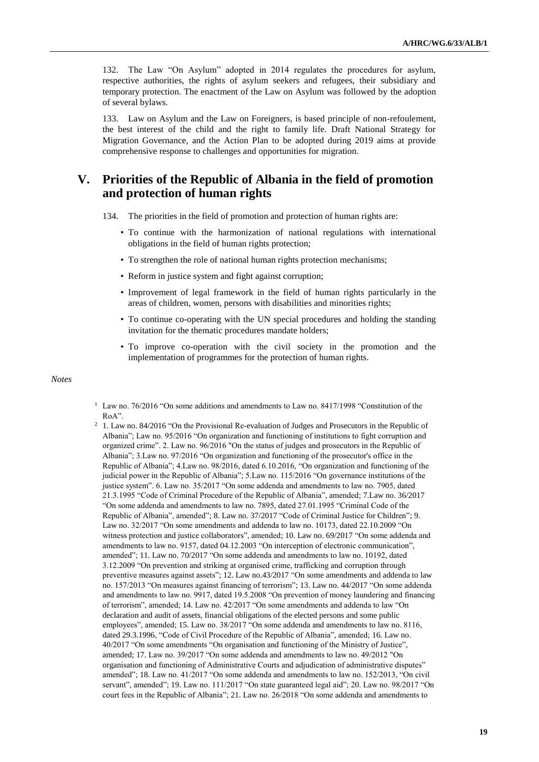132. The Law "On Asylum" adopted in 2014 regulates the procedures for asylum, respective authorities, the rights of asylum seekers and refugees, their subsidiary and temporary protection. The enactment of the Law on Asylum was followed by the adoption of several bylaws.

133. Law on Asylum and the Law on Foreigners, is based principle of non-refoulement, the best interest of the child and the right to family life. Draft National Strategy for Migration Governance, and the Action Plan to be adopted during 2019 aims at provide comprehensive response to challenges and opportunities for migration.

## **V. Priorities of the Republic of Albania in the field of promotion and protection of human rights**

134. The priorities in the field of promotion and protection of human rights are:

- To continue with the harmonization of national regulations with international obligations in the field of human rights protection;
- To strengthen the role of national human rights protection mechanisms;
- Reform in justice system and fight against corruption;
- Improvement of legal framework in the field of human rights particularly in the areas of children, women, persons with disabilities and minorities rights;
- To continue co-operating with the UN special procedures and holding the standing invitation for the thematic procedures mandate holders;
- To improve co-operation with the civil society in the promotion and the implementation of programmes for the protection of human rights.

#### *Notes*

- <sup>1</sup> Law no. 76/2016 "On some additions and amendments to Law no. 8417/1998 "Constitution of the RoA".
- <sup>2</sup> 1. Law no. 84/2016 "On the Provisional Re-evaluation of Judges and Prosecutors in the Republic of Albania"; Law no. 95/2016 "On organization and functioning of institutions to fight corruption and organized crime". 2. Law no. 96/2016 "On the status of judges and prosecutors in the Republic of Albania"; 3.Law no. 97/2016 "On organization and functioning of the prosecutor's office in the Republic of Albania"; 4.Law no. 98/2016, dated 6.10.2016, "On organization and functioning of the judicial power in the Republic of Albania"; 5.Law no. 115/2016 "On governance institutions of the justice system". 6. Law no. 35/2017 "On some addenda and amendments to law no. 7905, dated 21.3.1995 "Code of Criminal Procedure of the Republic of Albania", amended; 7.Law no. 36/2017 "On some addenda and amendments to law no. 7895, dated 27.01.1995 "Criminal Code of the Republic of Albania", amended"; 8. Law no. 37/2017 "Code of Criminal Justice for Children"; 9. Law no. 32/2017 "On some amendments and addenda to law no. 10173, dated 22.10.2009 "On witness protection and justice collaborators", amended; 10. Law no. 69/2017 "On some addenda and amendments to law no. 9157, dated 04.12.2003 "On interception of electronic communication", amended"; 11. Law no. 70/2017 "On some addenda and amendments to law no. 10192, dated 3.12.2009 "On prevention and striking at organised crime, trafficking and corruption through preventive measures against assets"; 12. Law no.43/2017 "On some amendments and addenda to law no. 157/2013 "On measures against financing of terrorism"; 13. Law no. 44/2017 "On some addenda and amendments to law no. 9917, dated 19.5.2008 "On prevention of money laundering and financing of terrorism", amended; 14. Law no. 42/2017 "On some amendments and addenda to law "On declaration and audit of assets, financial obligations of the elected persons and some public employees", amended; 15. Law no. 38/2017 "On some addenda and amendments to law no. 8116, dated 29.3.1996, "Code of Civil Procedure of the Republic of Albania", amended; 16. Law no. 40/2017 "On some amendments "On organisation and functioning of the Ministry of Justice", amended; 17. Law no. 39/2017 "On some addenda and amendments to law no. 49/2012 "On organisation and functioning of Administrative Courts and adjudication of administrative disputes" amended"; 18. Law no. 41/2017 "On some addenda and amendments to law no. 152/2013, "On civil servant", amended"; 19. Law no. 111/2017 "On state guaranteed legal aid"; 20. Law no. 98/2017 "On court fees in the Republic of Albania"; 21. Law no. 26/2018 "On some addenda and amendments to